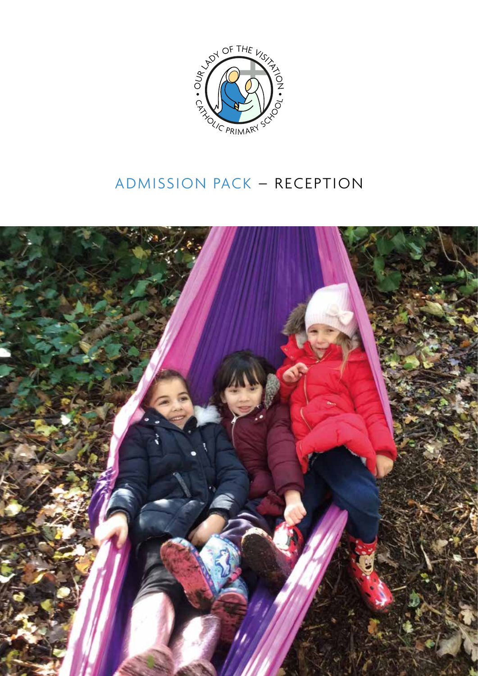

## ADMISSION PACK – RECEPTION

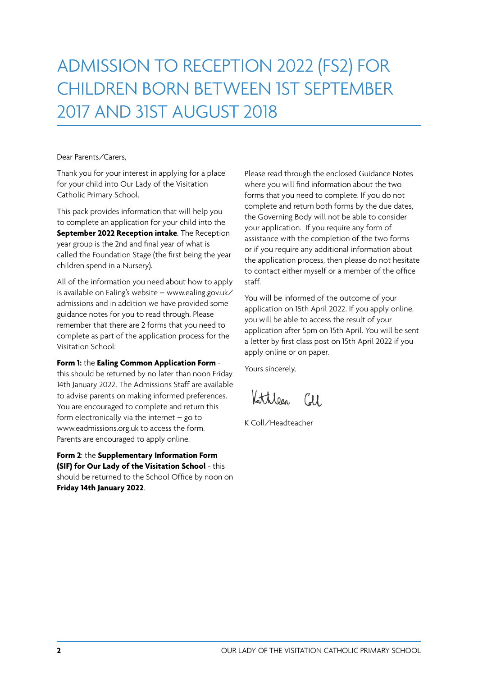# ADMISSION TO RECEPTION 2022 (FS2) FOR CHILDREN BORN BETWEEN 1ST SEPTEMBER 2017 AND 31ST AUGUST 2018

### Dear Parents/Carers,

Thank you for your interest in applying for a place for your child into Our Lady of the Visitation Catholic Primary School.

This pack provides information that will help you to complete an application for your child into the **September 2022 Reception intake**. The Reception year group is the 2nd and final year of what is called the Foundation Stage (the first being the year children spend in a Nursery).

All of the information you need about how to apply is available on Ealing's website – www.ealing.gov.uk/ admissions and in addition we have provided some guidance notes for you to read through. Please remember that there are 2 forms that you need to complete as part of the application process for the Visitation School:

### **Form 1:** the **Ealing Common Application Form** -

this should be returned by no later than noon Friday 14th January 2022. The Admissions Staff are available to advise parents on making informed preferences. You are encouraged to complete and return this form electronically via the internet  $-$  go to www.eadmissions.org.uk to access the form. Parents are encouraged to apply online.

**Form 2**: the **Supplementary Information Form (SIF) for Our Lady of the Visitation School** - this should be returned to the School Office by noon on **Friday 14th January 2022**.

Please read through the enclosed Guidance Notes where you will find information about the two forms that you need to complete. If you do not complete and return both forms by the due dates, the Governing Body will not be able to consider your application. If you require any form of assistance with the completion of the two forms or if you require any additional information about the application process, then please do not hesitate to contact either myself or a member of the office staff.

You will be informed of the outcome of your application on 15th April 2022. If you apply online, you will be able to access the result of your application after 5pm on 15th April. You will be sent a letter by first class post on 15th April 2022 if you apply online or on paper.

Yours sincerely,

Kattileen Coll

K Coll/Headteacher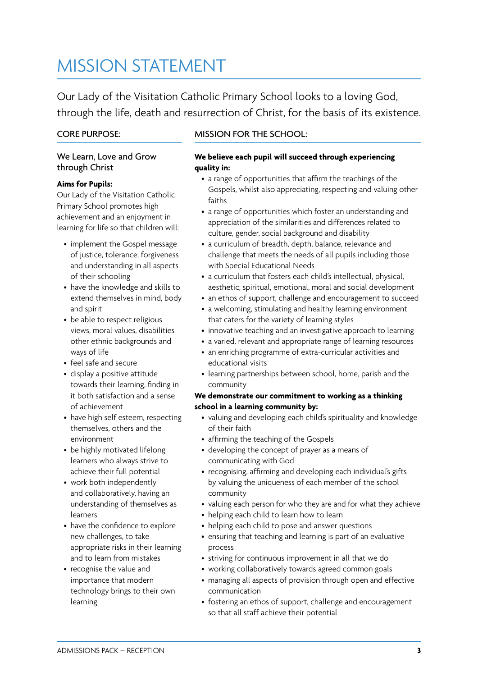## MISSION STATEMENT

Our Lady of the Visitation Catholic Primary School looks to a loving God, through the life, death and resurrection of Christ, for the basis of its existence.

## CORE PURPOSE:

## We Learn, Love and Grow through Christ

## **Aims for Pupils:**

Our Lady of the Visitation Catholic Primary School promotes high achievement and an enjoyment in learning for life so that children will:

- implement the Gospel message of justice, tolerance, forgiveness and understanding in all aspects of their schooling
- have the knowledge and skills to extend themselves in mind, body and spirit
- be able to respect religious views, moral values, disabilities other ethnic backgrounds and ways of life
- feel safe and secure
- display a positive attitude towards their learning, finding in it both satisfaction and a sense of achievement
- have high self esteem, respecting themselves, others and the environment
- be highly motivated lifelong learners who always strive to achieve their full potential
- work both independently and collaboratively, having an understanding of themselves as learners
- have the confidence to explore new challenges, to take appropriate risks in their learning and to learn from mistakes
- recognise the value and importance that modern technology brings to their own learning

## MISSION FOR THE SCHOOL:

#### **We believe each pupil will succeed through experiencing quality in:**

- a range of opportunities that affirm the teachings of the Gospels, whilst also appreciating, respecting and valuing other faiths
- a range of opportunities which foster an understanding and appreciation of the similarities and differences related to culture, gender, social background and disability
- a curriculum of breadth, depth, balance, relevance and challenge that meets the needs of all pupils including those with Special Educational Needs
- a curriculum that fosters each child's intellectual, physical, aesthetic, spiritual, emotional, moral and social development
- an ethos of support, challenge and encouragement to succeed
- a welcoming, stimulating and healthy learning environment that caters for the variety of learning styles
- innovative teaching and an investigative approach to learning
- a varied, relevant and appropriate range of learning resources
- an enriching programme of extra-curricular activities and educational visits
- learning partnerships between school, home, parish and the community

### **We demonstrate our commitment to working as a thinking school in a learning community by:**

- valuing and developing each child's spirituality and knowledge of their faith
- affirming the teaching of the Gospels
- developing the concept of prayer as a means of communicating with God
- recognising, affirming and developing each individual's gifts by valuing the uniqueness of each member of the school community
- valuing each person for who they are and for what they achieve
- helping each child to learn how to learn
- helping each child to pose and answer questions
- ensuring that teaching and learning is part of an evaluative process
- striving for continuous improvement in all that we do
- working collaboratively towards agreed common goals
- managing all aspects of provision through open and effective communication
- fostering an ethos of support, challenge and encouragement so that all staff achieve their potential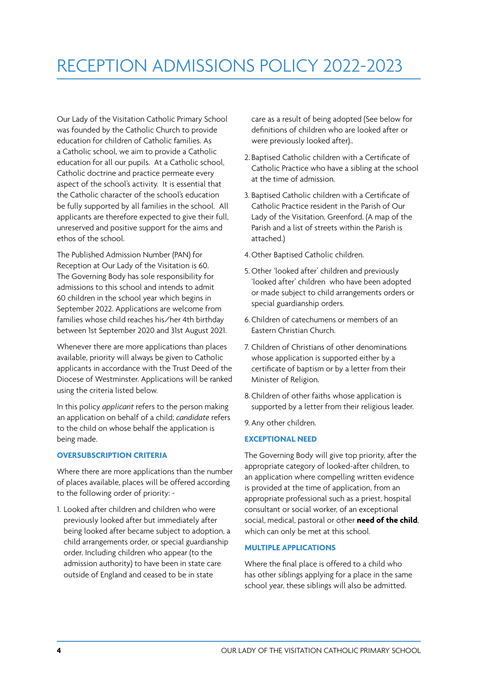## RECEPTION ADMISSIONS POLICY 2022-2023

Our Lady of the Visitation Catholic Primary School was founded by the Catholic Church to provide education for children of Catholic families. As a Catholic school, we aim to provide a Catholic education for all our pupils. At a Catholic school, Catholic doctrine and practice permeate every aspect of the school's activity. It is essential that the Catholic character of the school's education be fully supported by all families in the school. All applicants are therefore expected to give their full, unreserved and positive support for the aims and ethos of the school.

The Published Admission Number (PAN) for Reception at Our Lady of the Visitation is 60. The Governing Body has sole responsibility for admissions to this school and intends to admit 60 children in the school year which begins in September 2022. Applications are welcome from families whose child reaches his/her 4th birthday between 1st September 2020 and 31st August 2021.

Whenever there are more applications than places available, priority will always be given to Catholic applicants in accordance with the Trust Deed of the Diocese of Westminster. Applications will be ranked using the criteria listed below.

In this policy *applicant* refers to the person making an application on behalf of a child; *candidate* refers to the child on whose behalf the application is being made.

### **OVERSUBSCRIPTION CRITERIA**

Where there are more applications than the number of places available, places will be offered according to the following order of priority: -

1. Looked after children and children who were previously looked after but immediately after being looked after became subject to adoption, a child arrangements order, or special guardianship order. Including children who appear (to the admission authority) to have been in state care outside of England and ceased to be in state

care as a result of being adopted (See below for definitions of children who are looked after or were previously looked after)..

- 2. Baptised Catholic children with a Certificate of Catholic Practice who have a sibling at the school at the time of admission.
- 3. Baptised Catholic children with a Certificate of Catholic Practice resident in the Parish of Our Lady of the Visitation, Greenford. (A map of the Parish and a list of streets within the Parish is attached.)
- 4.Other Baptised Catholic children.
- 5. Other 'looked after' children and previously 'looked after' children who have been adopted or made subject to child arrangements orders or special guardianship orders.
- 6.Children of catechumens or members of an Eastern Christian Church.
- 7. Children of Christians of other denominations whose application is supported either by a certificate of baptism or by a letter from their Minister of Religion.
- 8.Children of other faiths whose application is supported by a letter from their religious leader.

9. Any other children.

### **EXCEPTIONAL NEED**

The Governing Body will give top priority, after the appropriate category of looked-after children, to an application where compelling written evidence is provided at the time of application, from an appropriate professional such as a priest, hospital consultant or social worker, of an exceptional social, medical, pastoral or other **need of the child**, which can only be met at this school.

#### **MULTIPLE APPLICATIONS**

Where the final place is offered to a child who has other siblings applying for a place in the same school year, these siblings will also be admitted.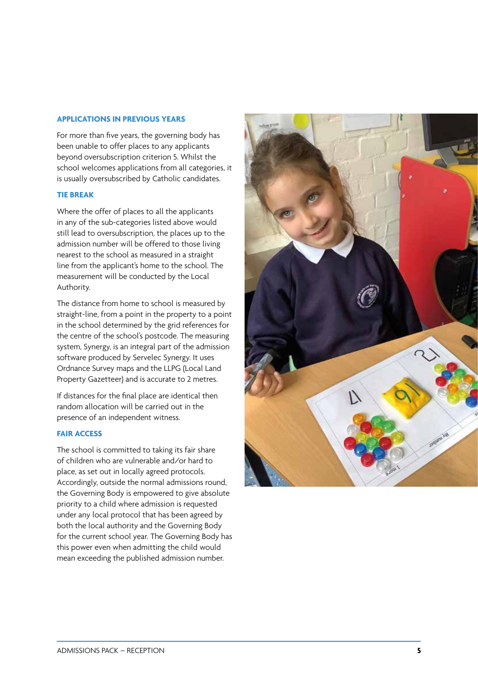#### **APPLICATIONS IN PREVIOUS YEARS**

For more than five years, the governing body has been unable to offer places to any applicants beyond oversubscription criterion 5. Whilst the school welcomes applications from all categories, it is usually oversubscribed by Catholic candidates.

#### **TIE BREAK**

Where the offer of places to all the applicants in any of the sub-categories listed above would still lead to oversubscription, the places up to the admission number will be offered to those living nearest to the school as measured in a straight line from the applicant's home to the school. The measurement will be conducted by the Local Authority.

The distance from home to school is measured by straight-line, from a point in the property to a point in the school determined by the grid references for the centre of the school's postcode. The measuring system, Synergy, is an integral part of the admission software produced by Servelec Synergy. It uses Ordnance Survey maps and the LLPG (Local Land Property Gazetteer) and is accurate to 2 metres.

If distances for the final place are identical then random allocation will be carried out in the presence of an independent witness.

### **FAIR ACCESS**

The school is committed to taking its fair share of children who are vulnerable and/or hard to place, as set out in locally agreed protocols. Accordingly, outside the normal admissions round, the Governing Body is empowered to give absolute priority to a child where admission is requested under any local protocol that has been agreed by both the local authority and the Governing Body for the current school year. The Governing Body has this power even when admitting the child would mean exceeding the published admission number.

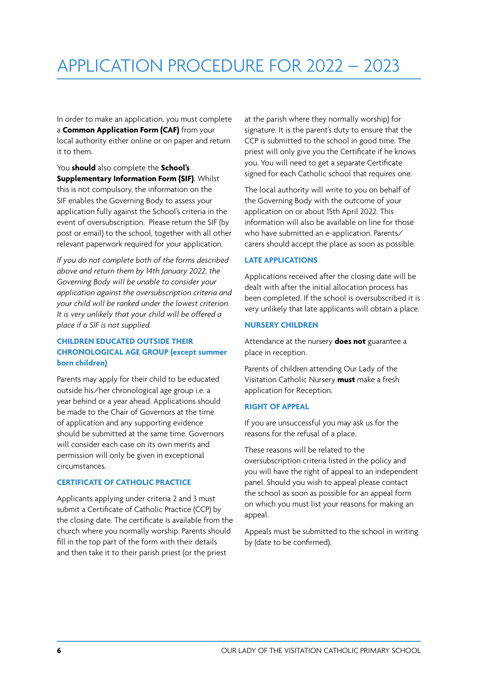In order to make an application, you must complete a **Common Application Form (CAF)** from your local authority either online or on paper and return it to them.

You **should** also complete the **School's Supplementary Information Form (SIF)**. Whilst this is not compulsory, the information on the SIF enables the Governing Body to assess your application fully against the School's criteria in the event of oversubscription. Please return the SIF (by post or email) to the school, together with all other relevant paperwork required for your application.

*If you do not complete both of the forms described above and return them by 14th January 2022, the Governing Body will be unable to consider your application against the oversubscription criteria and your child will be ranked under the lowest criterion. It is very unlikely that your child will be offered a place if a SIF is not supplied.* 

## **CHILDREN EDUCATED OUTSIDE THEIR CHRONOLOGICAL AGE GROUP (except summer born children)**

Parents may apply for their child to be educated outside his/her chronological age group i.e. a year behind or a year ahead. Applications should be made to the Chair of Governors at the time of application and any supporting evidence should be submitted at the same time. Governors will consider each case on its own merits and permission will only be given in exceptional circumstances.

## **CERTIFICATE OF CATHOLIC PRACTICE**

Applicants applying under criteria 2 and 3 must submit a Certificate of Catholic Practice (CCP) by the closing date. The certificate is available from the church where you normally worship. Parents should fill in the top part of the form with their details and then take it to their parish priest (or the priest

at the parish where they normally worship) for signature. It is the parent's duty to ensure that the CCP is submitted to the school in good time. The priest will only give you the Certificate if he knows you. You will need to get a separate Certificate signed for each Catholic school that requires one.

The local authority will write to you on behalf of the Governing Body with the outcome of your application on or about 15th April 2022. This information will also be available on line for those who have submitted an e-application. Parents/ carers should accept the place as soon as possible.

## **LATE APPLICATIONS**

Applications received after the closing date will be dealt with after the initial allocation process has been completed. If the school is oversubscribed it is very unlikely that late applicants will obtain a place.

## **NURSERY CHILDREN**

Attendance at the nursery **does not** guarantee a place in reception.

Parents of children attending Our Lady of the Visitation Catholic Nursery **must** make a fresh application for Reception.

## **RIGHT OF APPEAL**

If you are unsuccessful you may ask us for the reasons for the refusal of a place.

These reasons will be related to the oversubscription criteria listed in the policy and you will have the right of appeal to an independent panel. Should you wish to appeal please contact the school as soon as possible for an appeal form on which you must list your reasons for making an appeal.

Appeals must be submitted to the school in writing by (date to be confirmed).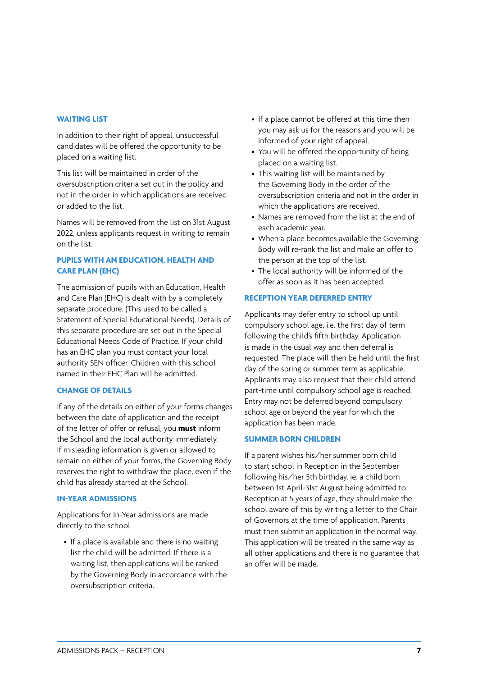#### **WAITING LIST**

In addition to their right of appeal, unsuccessful candidates will be offered the opportunity to be placed on a waiting list.

This list will be maintained in order of the oversubscription criteria set out in the policy and not in the order in which applications are received or added to the list.

Names will be removed from the list on 31st August 2022, unless applicants request in writing to remain on the list.

## **PUPILS WITH AN EDUCATION, HEALTH AND CARE PLAN (EHC)**

The admission of pupils with an Education, Health and Care Plan (EHC) is dealt with by a completely separate procedure. (This used to be called a Statement of Special Educational Needs). Details of this separate procedure are set out in the Special Educational Needs Code of Practice. If your child has an EHC plan you must contact your local authority SEN officer. Children with this school named in their EHC Plan will be admitted.

### **CHANGE OF DETAILS**

If any of the details on either of your forms changes between the date of application and the receipt of the letter of offer or refusal, you **must** inform the School and the local authority immediately. If misleading information is given or allowed to remain on either of your forms, the Governing Body reserves the right to withdraw the place, even if the child has already started at the School.

#### **IN-YEAR ADMISSIONS**

Applications for In-Year admissions are made directly to the school.

• If a place is available and there is no waiting list the child will be admitted. If there is a waiting list, then applications will be ranked by the Governing Body in accordance with the oversubscription criteria.

- If a place cannot be offered at this time then you may ask us for the reasons and you will be informed of your right of appeal.
- You will be offered the opportunity of being placed on a waiting list.
- This waiting list will be maintained by the Governing Body in the order of the oversubscription criteria and not in the order in which the applications are received.
- Names are removed from the list at the end of each academic year.
- When a place becomes available the Governing Body will re-rank the list and make an offer to the person at the top of the list.
- The local authority will be informed of the offer as soon as it has been accepted.

### **RECEPTION YEAR DEFERRED ENTRY**

Applicants may defer entry to school up until compulsory school age, i.e. the first day of term following the child's fifth birthday. Application is made in the usual way and then deferral is requested. The place will then be held until the first day of the spring or summer term as applicable. Applicants may also request that their child attend part-time until compulsory school age is reached. Entry may not be deferred beyond compulsory school age or beyond the year for which the application has been made.

#### **SUMMER BORN CHILDREN**

If a parent wishes his/her summer born child to start school in Reception in the September following his/her 5th birthday, ie. a child born between 1st April-31st August being admitted to Reception at 5 years of age, they should make the school aware of this by writing a letter to the Chair of Governors at the time of application. Parents must then submit an application in the normal way. This application will be treated in the same way as all other applications and there is no guarantee that an offer will be made.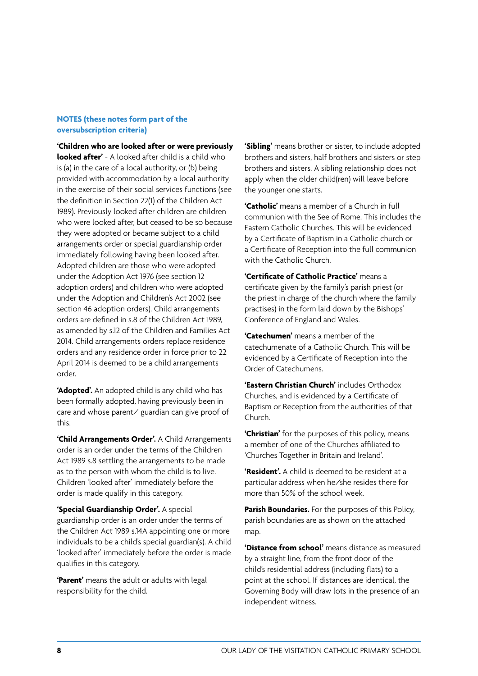### **NOTES (these notes form part of the oversubscription criteria)**

**'Children who are looked after or were previously looked after'** - A looked after child is a child who is (a) in the care of a local authority, or (b) being provided with accommodation by a local authority in the exercise of their social services functions (see the definition in Section 22(1) of the Children Act 1989). Previously looked after children are children who were looked after, but ceased to be so because they were adopted or became subject to a child arrangements order or special guardianship order immediately following having been looked after. Adopted children are those who were adopted under the Adoption Act 1976 (see section 12 adoption orders) and children who were adopted under the Adoption and Children's Act 2002 (see section 46 adoption orders). Child arrangements orders are defined in s.8 of the Children Act 1989, as amended by s.12 of the Children and Families Act 2014. Child arrangements orders replace residence orders and any residence order in force prior to 22 April 2014 is deemed to be a child arrangements order.

**'Adopted'.** An adopted child is any child who has been formally adopted, having previously been in care and whose parent/ guardian can give proof of this.

**'Child Arrangements Order'.** A Child Arrangements order is an order under the terms of the Children Act 1989 s.8 settling the arrangements to be made as to the person with whom the child is to live. Children 'looked after' immediately before the order is made qualify in this category.

**'Special Guardianship Order'.** A special guardianship order is an order under the terms of the Children Act 1989 s.14A appointing one or more individuals to be a child's special guardian(s). A child 'looked after' immediately before the order is made qualifies in this category.

**'Parent'** means the adult or adults with legal responsibility for the child.

**'Sibling'** means brother or sister, to include adopted brothers and sisters, half brothers and sisters or step brothers and sisters. A sibling relationship does not apply when the older child(ren) will leave before the younger one starts.

**'Catholic'** means a member of a Church in full communion with the See of Rome. This includes the Eastern Catholic Churches. This will be evidenced by a Certificate of Baptism in a Catholic church or a Certificate of Reception into the full communion with the Catholic Church.

**'Certificate of Catholic Practice'** means a certificate given by the family's parish priest (or the priest in charge of the church where the family practises) in the form laid down by the Bishops' Conference of England and Wales.

**'Catechumen'** means a member of the catechumenate of a Catholic Church. This will be evidenced by a Certificate of Reception into the Order of Catechumens.

**'Eastern Christian Church'** includes Orthodox Churches, and is evidenced by a Certificate of Baptism or Reception from the authorities of that Church.

**'Christian'** for the purposes of this policy, means a member of one of the Churches affiliated to 'Churches Together in Britain and Ireland'.

**'Resident'.** A child is deemed to be resident at a particular address when he/she resides there for more than 50% of the school week.

**Parish Boundaries.** For the purposes of this Policy, parish boundaries are as shown on the attached map.

**'Distance from school'** means distance as measured by a straight line, from the front door of the child's residential address (including flats) to a point at the school. If distances are identical, the Governing Body will draw lots in the presence of an independent witness.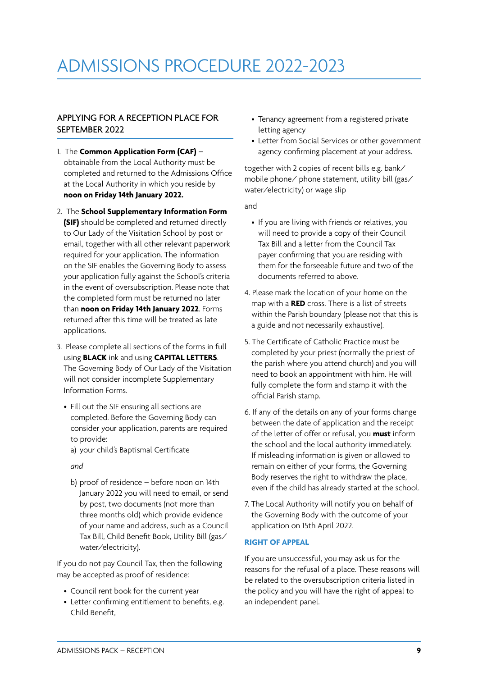## ADMISSIONS PROCEDURE 2022-2023

## APPLYING FOR A RECEPTION PLACE FOR SEPTEMBER 2022

- 1. The **Common Application Form (CAF)** obtainable from the Local Authority must be completed and returned to the Admissions Office at the Local Authority in which you reside by **noon on Friday 14th January 2022.**
- 2. The **School Supplementary Information Form (SIF)** should be completed and returned directly to Our Lady of the Visitation School by post or email, together with all other relevant paperwork required for your application. The information on the SIF enables the Governing Body to assess your application fully against the School's criteria in the event of oversubscription. Please note that the completed form must be returned no later than **noon on Friday 14th January 2022**. Forms returned after this time will be treated as late applications.
- 3. Please complete all sections of the forms in full using **BLACK** ink and using **CAPITAL LETTERS**. The Governing Body of Our Lady of the Visitation will not consider incomplete Supplementary Information Forms.
	- Fill out the SIF ensuring all sections are completed. Before the Governing Body can consider your application, parents are required to provide:
		- a) your child's Baptismal Certificate

*and*

b) proof of residence – before noon on 14th January 2022 you will need to email, or send by post, two documents (not more than three months old) which provide evidence of your name and address, such as a Council Tax Bill, Child Benefit Book, Utility Bill (gas/ water/electricity).

If you do not pay Council Tax, then the following may be accepted as proof of residence:

- Council rent book for the current year
- Letter confirming entitlement to benefits, e.g. Child Benefit,
- Tenancy agreement from a registered private letting agency
- Letter from Social Services or other government agency confirming placement at your address.

together with 2 copies of recent bills e.g. bank/ mobile phone/ phone statement, utility bill (gas/ water/electricity) or wage slip

and

- If you are living with friends or relatives, you will need to provide a copy of their Council Tax Bill and a letter from the Council Tax payer confirming that you are residing with them for the forseeable future and two of the documents referred to above.
- 4. Please mark the location of your home on the map with a **RED** cross. There is a list of streets within the Parish boundary (please not that this is a guide and not necessarily exhaustive).
- 5. The Certificate of Catholic Practice must be completed by your priest (normally the priest of the parish where you attend church) and you will need to book an appointment with him. He will fully complete the form and stamp it with the official Parish stamp.
- 6. If any of the details on any of your forms change between the date of application and the receipt of the letter of offer or refusal, you **must** inform the school and the local authority immediately. If misleading information is given or allowed to remain on either of your forms, the Governing Body reserves the right to withdraw the place, even if the child has already started at the school.
- 7. The Local Authority will notify you on behalf of the Governing Body with the outcome of your application on 15th April 2022.

### **RIGHT OF APPEAL**

If you are unsuccessful, you may ask us for the reasons for the refusal of a place. These reasons will be related to the oversubscription criteria listed in the policy and you will have the right of appeal to an independent panel.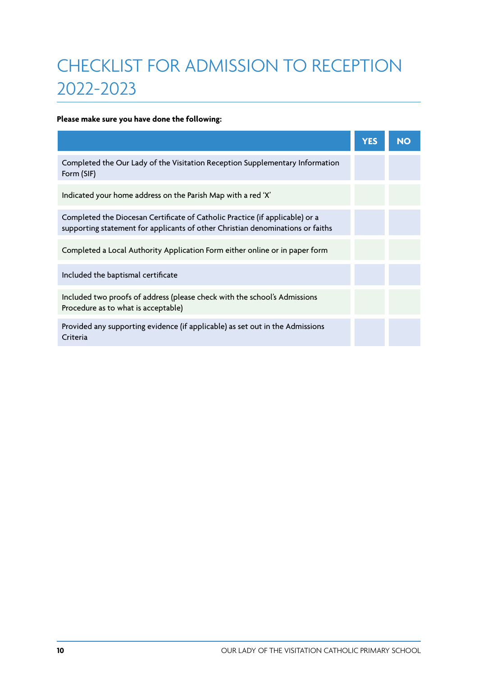## CHECKLIST FOR ADMISSION TO RECEPTION 2022-2023

## **Please make sure you have done the following:**

|                                                                                                                                                                | <b>YES</b> | <b>NO</b> |
|----------------------------------------------------------------------------------------------------------------------------------------------------------------|------------|-----------|
| Completed the Our Lady of the Visitation Reception Supplementary Information<br>Form (SIF)                                                                     |            |           |
| Indicated your home address on the Parish Map with a red 'X'                                                                                                   |            |           |
| Completed the Diocesan Certificate of Catholic Practice (if applicable) or a<br>supporting statement for applicants of other Christian denominations or faiths |            |           |
| Completed a Local Authority Application Form either online or in paper form                                                                                    |            |           |
| Included the baptismal certificate                                                                                                                             |            |           |
| Included two proofs of address (please check with the school's Admissions<br>Procedure as to what is acceptable)                                               |            |           |
| Provided any supporting evidence (if applicable) as set out in the Admissions<br>Criteria                                                                      |            |           |